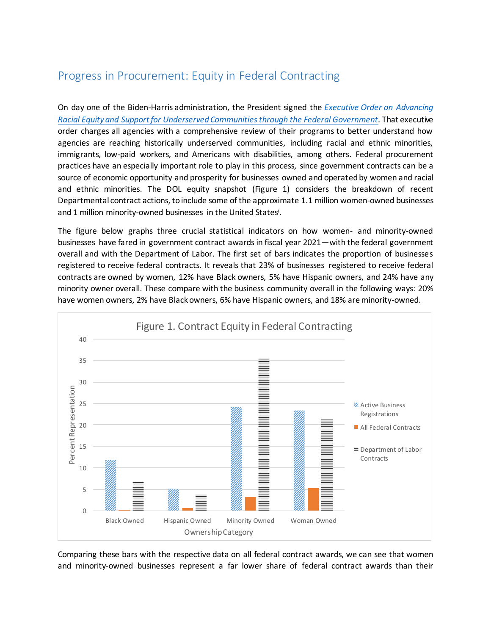## Progress in Procurement: Equity in Federal Contracting

On day one of the Biden-Harris administration, the President signed the *[Executive Order on Advancing](about:blank)  [Racial Equity and Support for Underserved Communities through the Federal Government.](about:blank)* That executive order charges all agencies with a comprehensive review of their programs to better understand how agencies are reaching historically underserved communities, including racial and ethnic minorities, immigrants, low-paid workers, and Americans with disabilities, among others. Federal procurement practices have an especially important role to play in this process, since government contracts can be a source of economic opportunity and prosperity for businesses owned and operated by women and racial and ethnic minorities. The DOL equity snapshot (Figure 1) considers the breakdown of recent Departmental contract actions, to include some of the approximate 1.1 million women-owned businesses and 1 million minority-owned businesses in the United States<sup>i</sup>.

The figure below graphs three crucial statistical indicators on how women- and minority-owned businesses have fared in government contract awardsin fiscal year 2021—with the federal government overall and with the Department of Labor. The first set of bars indicates the proportion of businesses registered to receive federal contracts. It reveals that 23% of businesses registered to receive federal contracts are owned by women, 12% have Black owners, 5% have Hispanic owners, and 24% have any minority owner overall. These compare with the business community overall in the following ways: 20% have women owners, 2% have Black owners, 6% have Hispanic owners, and 18% are minority-owned.



Comparing these bars with the respective data on all federal contract awards, we can see that women and minority-owned businesses represent a far lower share of federal contract awards than their